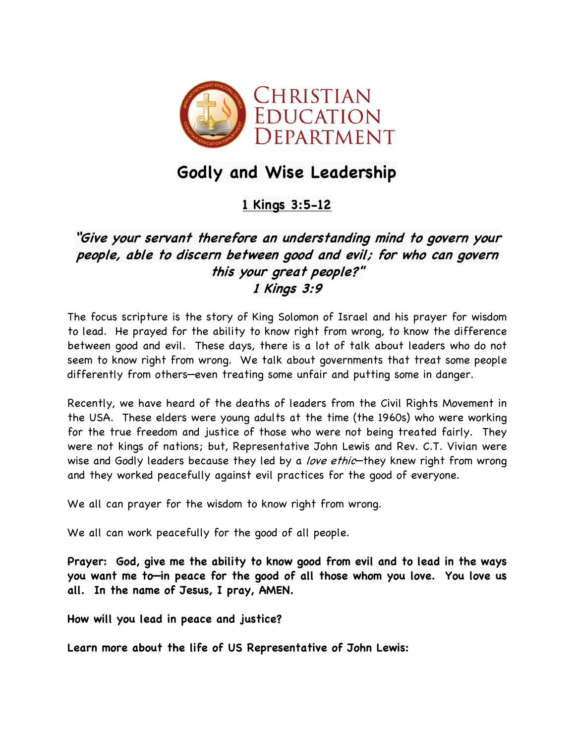

# **Godly and Wise Leadership**

## **1 Kings 3:5-12**

## **"Give your servant therefore an understanding mind to govern your people, able to discern between good and evil; for who can govern this your great people?" 1 Kings 3:9**

The focus scripture is the story of King Solomon of Israel and his prayer for wisdom to lead. He prayed for the ability to know right from wrong, to know the difference between good and evil. These days, there is a lot of talk about leaders who do not seem to know right from wrong. We talk about governments that treat some people differently from others—even treating some unfair and putting some in danger.

Recently, we have heard of the deaths of leaders from the Civil Rights Movement in the USA. These elders were young adults at the time (the 1960s) who were working for the true freedom and justice of those who were not being treated fairly. They were not kings of nations; but, Representative John Lewis and Rev. C.T. Vivian were wise and Godly leaders because they led by a love ethic-they knew right from wrong and they worked peacefully against evil practices for the good of everyone.

We all can prayer for the wisdom to know right from wrong.

We all can work peacefully for the good of all people.

**Prayer: God, give me the ability to know good from evil and to lead in the ways you want me to—in peace for the good of all those whom you love. You love us all. In the name of Jesus, I pray, AMEN.**

**How will you lead in peace and justice?**

**Learn more about the life of US Representative of John Lewis:**